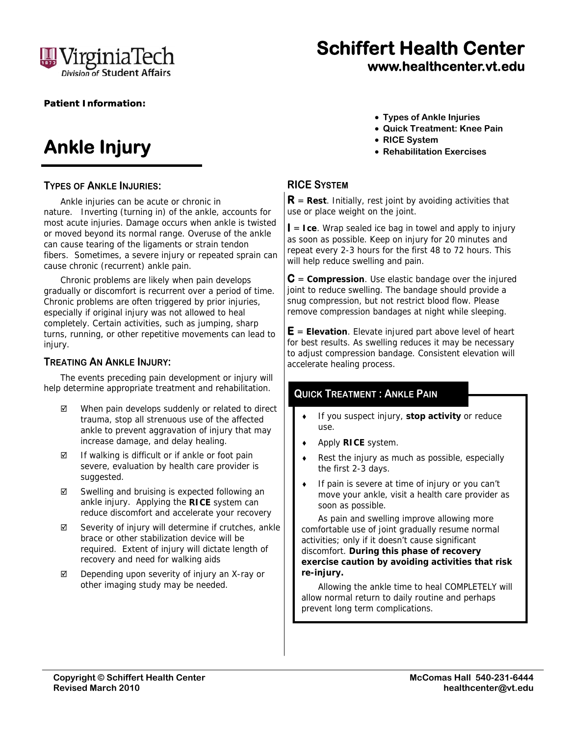

# **Schiffert Health Center www.healthcenter.vt.edu**

#### **Patient Information:**

# **Ankle Injury**

#### **TYPES OF ANKLE INJURIES:**

Ankle injuries can be acute or chronic in nature. Inverting (turning in) of the ankle, accounts for most acute injuries. Damage occurs when ankle is twisted or moved beyond its normal range. Overuse of the ankle can cause tearing of the ligaments or strain tendon fibers. Sometimes, a severe injury or repeated sprain can cause chronic (recurrent) ankle pain.

Chronic problems are likely when pain develops gradually or discomfort is recurrent over a period of time. Chronic problems are often triggered by prior injuries, especially if original injury was not allowed to heal completely. Certain activities, such as jumping, sharp turns, running, or other repetitive movements can lead to injury.

### **TREATING AN ANKLE INJURY:**

The events preceding pain development or injury will help determine appropriate treatment and rehabilitation.

- When pain develops suddenly or related to direct trauma, stop all strenuous use of the affected ankle to prevent aggravation of injury that may increase damage, and delay healing.
- $\boxtimes$  If walking is difficult or if ankle or foot pain severe, evaluation by health care provider is suggested.
- $\boxtimes$  Swelling and bruising is expected following an ankle injury. Applying the **RICE** system can reduce discomfort and accelerate your recovery
- $\boxtimes$  Severity of injury will determine if crutches, ankle brace or other stabilization device will be required. Extent of injury will dictate length of recovery and need for walking aids
- $\boxtimes$  Depending upon severity of injury an X-ray or other imaging study may be needed.
- **Types of Ankle Injuries**
- **Quick Treatment: Knee Pain**
- **RICE System**
- **Rehabilitation Exercises**

### **RICE SYSTEM**

**R** = **Rest**. Initially, rest joint by avoiding activities that use or place weight on the joint.

**I** = **Ice**. Wrap sealed ice bag in towel and apply to injury as soon as possible. Keep on injury for 20 minutes and repeat every 2-3 hours for the first 48 to 72 hours. This will help reduce swelling and pain.

**C** = **Compression**. Use elastic bandage over the injured joint to reduce swelling. The bandage should provide a snug compression, but not restrict blood flow. Please remove compression bandages at night while sleeping.

**E** = **Elevation**. Elevate injured part above level of heart for best results. As swelling reduces it may be necessary to adjust compression bandage. Consistent elevation will accelerate healing process.

### **QUICK TREATMENT : ANKLE PAIN**

- If you suspect injury, **stop activity** or reduce use.
- Apply **RICE** system.
- $\leftarrow$  Rest the injury as much as possible, especially the first 2-3 days.
- If pain is severe at time of injury or you can't move your ankle, visit a health care provider as soon as possible.

As pain and swelling improve allowing more comfortable use of joint gradually resume normal activities; only if it doesn't cause significant discomfort. *During this phase of recovery exercise caution by avoiding activities that risk re-injury***.** 

Allowing the ankle time to heal COMPLETELY will allow normal return to daily routine and perhaps prevent long term complications.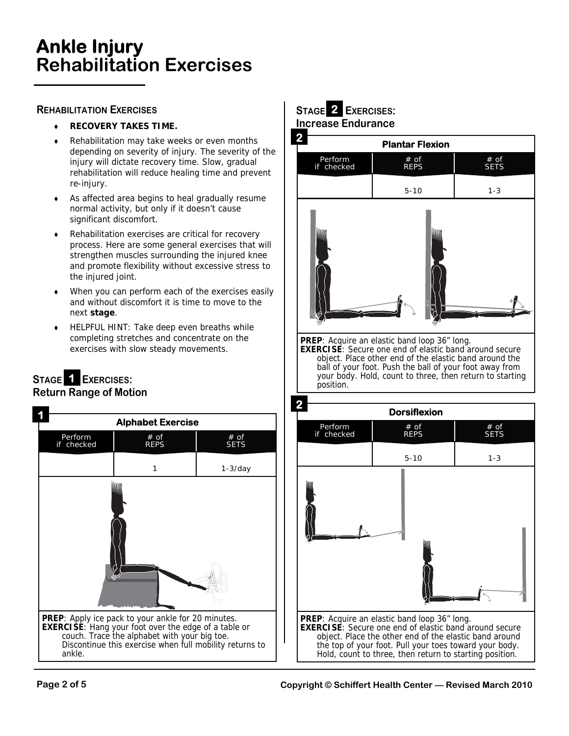### **Ankle Injury Rehabilitation Exercises**

### **REHABILITATION EXERCISES**

- **RECOVERY TAKES TIME.**
- Rehabilitation may take weeks or even months depending on severity of injury. The severity of the injury will dictate recovery time. Slow, gradual rehabilitation will reduce healing time and prevent re-injury.
- As affected area begins to heal gradually resume normal activity, but only if it doesn't cause significant discomfort.
- ◆ Rehabilitation exercises are critical for recovery process. Here are some general exercises that will strengthen muscles surrounding the injured knee and promote flexibility without excessive stress to the injured joint.
- When you can perform each of the exercises easily and without discomfort it is time to move to the next **stage**.
- ◆ HELPFUL HINT: Take deep even breaths while completing stretches and concentrate on the exercises with slow steady movements.

### STAGE **1 EXERCISES: Return Range of Motion**



### **STAGE EXERCISES: 2 Increase Endurance**



**PREP**: Acquire an elastic band loop 36" long. **EXERCISE**: Secure one end of elastic band around secure object. Place other end of the elastic band around the ball of your foot. Push the ball of your foot away from your body. Hold, count to three, then return to starting position.

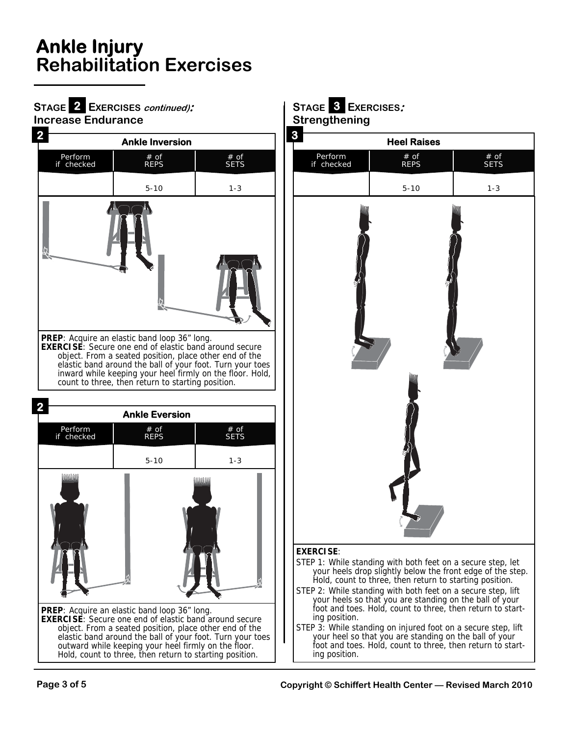# **Ankle Injury Rehabilitation Exercises**

#### **STAGE EXERCISES continued): Increase Endurance**  2 EXERCISES *continued)*:  $\begin{array}{|c|c|c|c|c|c|}\n\hline\n2 & \text{EXERCISES}: \\\hline\n\end{array}$



inward while keeping your heel firmly on the floor. Hold, count to three, then return to starting position.







#### **EXERCISE**:

- STEP 1: While standing with both feet on a secure step, let your heels drop slightly below the front edge of the step. Hold, count to three, then return to starting position.
- STEP 2: While standing with both feet on a secure step, lift your heels so that you are standing on the ball of your foot and toes. Hold, count to three, then return to starting position.
- STEP 3: While standing on injured foot on a secure step, lift your heel so that you are standing on the ball of your foot and toes. Hold, count to three, then return to starting position.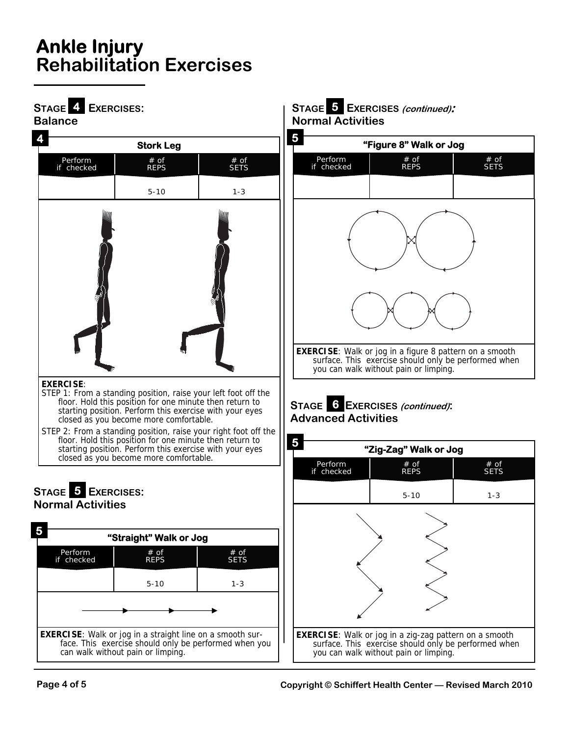# **Ankle Injury Rehabilitation Exercises**

**STAGE EXERCISES:** 



5-10

**EXERCISE**: Walk or jog in a straight line on a smooth surface. This exercise should only be performed when you

can walk without pain or limping.

1-3

### **4 STAGE EXERCISES (continued): 5 Normal Activities**



### **STAGE EXERCISES (continued): 6 Advanced Activities**